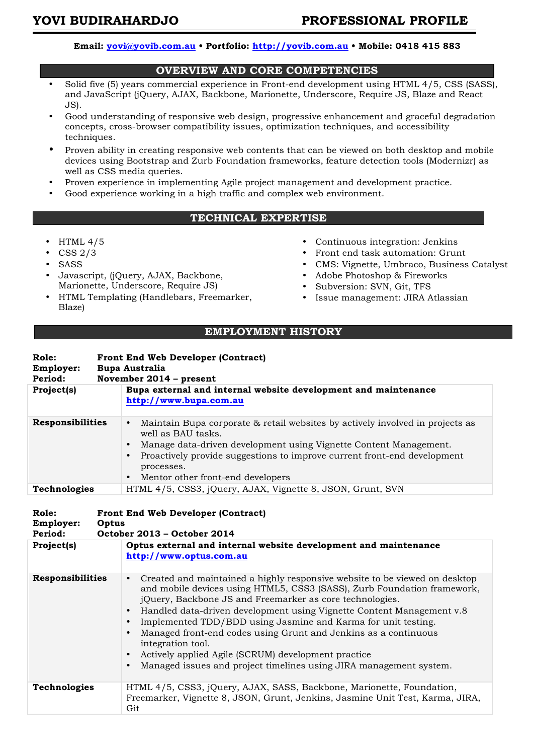## **Email: yovi@yovib.com.au • Portfolio: http://yovib.com.au • Mobile: 0418 415 883**

## **OVERVIEW AND CORE COMPETENCIES**

- Solid five (5) years commercial experience in Front-end development using HTML 4/5, CSS (SASS), and JavaScript (jQuery, AJAX, Backbone, Marionette, Underscore, Require JS, Blaze and React JS).
- Good understanding of responsive web design, progressive enhancement and graceful degradation concepts, cross-browser compatibility issues, optimization techniques, and accessibility techniques.
- Proven ability in creating responsive web contents that can be viewed on both desktop and mobile devices using Bootstrap and Zurb Foundation frameworks, feature detection tools (Modernizr) as well as CSS media queries.
- Proven experience in implementing Agile project management and development practice.
- Good experience working in a high traffic and complex web environment.

## **TECHNICAL EXPERTISE**

- HTML 4/5
- CSS 2/3
- SASS
- Javascript, (jQuery, AJAX, Backbone, Marionette, Underscore, Require JS)
- HTML Templating (Handlebars, Freemarker, Blaze)
- Continuous integration: Jenkins
- Front end task automation: Grunt
- CMS: Vignette, Umbraco, Business Catalyst
- Adobe Photoshop & Fireworks
- Subversion: SVN, Git, TFS
- Issue management: JIRA Atlassian

## **EMPLOYMENT HISTORY**

| Role:<br>Employer:<br>Period:               |       | <b>Front End Web Developer (Contract)</b><br><b>Bupa Australia</b><br>November 2014 - present                                                                                                                                                                                                                                                                                                                                                                                                                                                                                                                |
|---------------------------------------------|-------|--------------------------------------------------------------------------------------------------------------------------------------------------------------------------------------------------------------------------------------------------------------------------------------------------------------------------------------------------------------------------------------------------------------------------------------------------------------------------------------------------------------------------------------------------------------------------------------------------------------|
| Project(s)                                  |       | Bupa external and internal website development and maintenance<br>http://www.bupa.com.au                                                                                                                                                                                                                                                                                                                                                                                                                                                                                                                     |
| <b>Responsibilities</b>                     |       | Maintain Bupa corporate & retail websites by actively involved in projects as<br>$\bullet$<br>well as BAU tasks.<br>Manage data-driven development using Vignette Content Management.<br>Proactively provide suggestions to improve current front-end development<br>processes.<br>Mentor other front-end developers<br>$\bullet$                                                                                                                                                                                                                                                                            |
| Technologies                                |       | HTML 4/5, CSS3, jQuery, AJAX, Vignette 8, JSON, Grunt, SVN                                                                                                                                                                                                                                                                                                                                                                                                                                                                                                                                                   |
| Role:<br>Employer:<br>Period:<br>Project(s) | Optus | <b>Front End Web Developer (Contract)</b><br>October 2013 - October 2014<br>Optus external and internal website development and maintenance<br>http://www.optus.com.au                                                                                                                                                                                                                                                                                                                                                                                                                                       |
| <b>Responsibilities</b>                     |       | Created and maintained a highly responsive website to be viewed on desktop<br>$\bullet$<br>and mobile devices using HTML5, CSS3 (SASS), Zurb Foundation framework,<br>jQuery, Backbone JS and Freemarker as core technologies.<br>• Handled data-driven development using Vignette Content Management v.8<br>Implemented TDD/BDD using Jasmine and Karma for unit testing.<br>$\bullet$<br>Managed front-end codes using Grunt and Jenkins as a continuous<br>integration tool.<br>Actively applied Agile (SCRUM) development practice<br>Managed issues and project timelines using JIRA management system. |
| Technologies                                |       | HTML 4/5, CSS3, jQuery, AJAX, SASS, Backbone, Marionette, Foundation,<br>Freemarker, Vignette 8, JSON, Grunt, Jenkins, Jasmine Unit Test, Karma, JIRA,<br>Git                                                                                                                                                                                                                                                                                                                                                                                                                                                |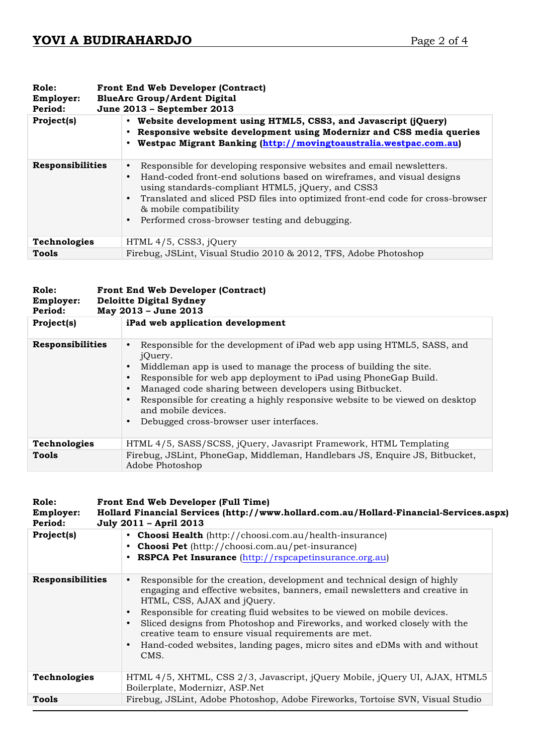| Role:<br>Employer:<br>Period: | <b>Front End Web Developer (Contract)</b><br><b>BlueArc Group/Ardent Digital</b><br>June 2013 – September 2013                                                                                                                                                                                                                                                        |
|-------------------------------|-----------------------------------------------------------------------------------------------------------------------------------------------------------------------------------------------------------------------------------------------------------------------------------------------------------------------------------------------------------------------|
| Project(s)                    | Website development using HTML5, CSS3, and Javascript (jQuery)<br>• Responsive website development using Modernizr and CSS media queries<br>Westpac Migrant Banking (http://movingtoaustralia.westpac.com.au)                                                                                                                                                         |
| <b>Responsibilities</b>       | Responsible for developing responsive websites and email newsletters.<br>Hand-coded front-end solutions based on wireframes, and visual designs<br>using standards-compliant HTML5, jQuery, and CSS3<br>• Translated and sliced PSD files into optimized front-end code for cross-browser<br>& mobile compatibility<br>Performed cross-browser testing and debugging. |
| Technologies                  | HTML 4/5, CSS3, jQuery                                                                                                                                                                                                                                                                                                                                                |
| Tools                         | Firebug, JSLint, Visual Studio 2010 & 2012, TFS, Adobe Photoshop                                                                                                                                                                                                                                                                                                      |

| Role:<br>Employer:<br>Period: | <b>Front End Web Developer (Contract)</b><br><b>Deloitte Digital Sydney</b><br>May 2013 - June 2013                                                                                                                                                                                                                                                                                                                                      |
|-------------------------------|------------------------------------------------------------------------------------------------------------------------------------------------------------------------------------------------------------------------------------------------------------------------------------------------------------------------------------------------------------------------------------------------------------------------------------------|
| Project(s)                    | iPad web application development                                                                                                                                                                                                                                                                                                                                                                                                         |
| <b>Responsibilities</b>       | Responsible for the development of iPad web app using HTML5, SASS, and<br>jQuery.<br>Middleman app is used to manage the process of building the site.<br>Responsible for web app deployment to iPad using PhoneGap Build.<br>Managed code sharing between developers using Bitbucket.<br>Responsible for creating a highly responsive website to be viewed on desktop<br>and mobile devices.<br>Debugged cross-browser user interfaces. |
| Technologies                  | HTML 4/5, SASS/SCSS, jQuery, Javasript Framework, HTML Templating                                                                                                                                                                                                                                                                                                                                                                        |
| Tools                         | Firebug, JSLint, PhoneGap, Middleman, Handlebars JS, Enquire JS, Bitbucket,<br>Adobe Photoshop                                                                                                                                                                                                                                                                                                                                           |

| Role:<br>Employer:<br>Period: | Front End Web Developer (Full Time)<br>Hollard Financial Services (http://www.hollard.com.au/Hollard-Financial-Services.aspx)<br>July 2011 - April 2013                                                                                                                                                                                                                                                                                                                                                                           |
|-------------------------------|-----------------------------------------------------------------------------------------------------------------------------------------------------------------------------------------------------------------------------------------------------------------------------------------------------------------------------------------------------------------------------------------------------------------------------------------------------------------------------------------------------------------------------------|
| Project(s)                    | • Choosi Health (http://choosi.com.au/health-insurance)<br>• Choosi Pet (http://choosi.com.au/pet-insurance)<br>RSPCA Pet Insurance (http://rspcapetinsurance.org.au)                                                                                                                                                                                                                                                                                                                                                             |
| <b>Responsibilities</b>       | Responsible for the creation, development and technical design of highly<br>engaging and effective websites, banners, email newsletters and creative in<br>HTML, CSS, AJAX and jQuery.<br>Responsible for creating fluid websites to be viewed on mobile devices.<br>$\bullet$<br>Sliced designs from Photoshop and Fireworks, and worked closely with the<br>$\bullet$<br>creative team to ensure visual requirements are met.<br>Hand-coded websites, landing pages, micro sites and eDMs with and without<br>$\bullet$<br>CMS. |
| <b>Technologies</b>           | HTML 4/5, XHTML, CSS 2/3, Javascript, jQuery Mobile, jQuery UI, AJAX, HTML5<br>Boilerplate, Modernizr, ASP.Net                                                                                                                                                                                                                                                                                                                                                                                                                    |
| Tools                         | Firebug, JSLint, Adobe Photoshop, Adobe Fireworks, Tortoise SVN, Visual Studio                                                                                                                                                                                                                                                                                                                                                                                                                                                    |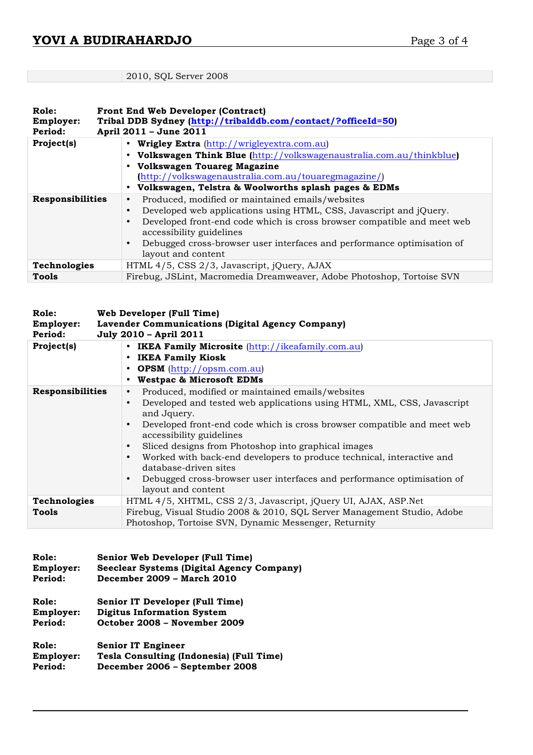# 2010, SQL Server 2008

| Role:<br>Employer:<br>Period: | <b>Front End Web Developer (Contract)</b><br>Tribal DDB Sydney (http://tribalddb.com/contact/?officeId=50)<br>April 2011 - June 2011                                                                                                                                                                                                                                      |
|-------------------------------|---------------------------------------------------------------------------------------------------------------------------------------------------------------------------------------------------------------------------------------------------------------------------------------------------------------------------------------------------------------------------|
| Project(s)                    | • Wrigley Extra (http://wrigleyextra.com.au)<br>• Volkswagen Think Blue (http://volkswagenaustralia.com.au/thinkblue)<br>• Volkswagen Touareg Magazine<br>(http://volkswagenaustralia.com.au/touaregmagazine/)<br>• Volkswagen, Telstra & Woolworths splash pages & EDMs                                                                                                  |
| <b>Responsibilities</b>       | Produced, modified or maintained emails/websites<br>٠<br>Developed web applications using HTML, CSS, Javascript and jQuery.<br>$\bullet$<br>Developed front-end code which is cross browser compatible and meet web<br>$\bullet$<br>accessibility guidelines<br>Debugged cross-browser user interfaces and performance optimisation of<br>$\bullet$<br>layout and content |
| <b>Technologies</b>           | HTML 4/5, CSS 2/3, Javascript, jQuery, AJAX                                                                                                                                                                                                                                                                                                                               |
| Tools                         | Firebug, JSLint, Macromedia Dreamweaver, Adobe Photoshop, Tortoise SVN                                                                                                                                                                                                                                                                                                    |

| Role:                | Web Developer (Full Time)                                                                                                                                                                                                                                                                                                                                                                                                                                                                                                                        |
|----------------------|--------------------------------------------------------------------------------------------------------------------------------------------------------------------------------------------------------------------------------------------------------------------------------------------------------------------------------------------------------------------------------------------------------------------------------------------------------------------------------------------------------------------------------------------------|
| Employer:<br>Period: | Lavender Communications (Digital Agency Company)<br>July 2010 - April 2011                                                                                                                                                                                                                                                                                                                                                                                                                                                                       |
| Project(s)           | • IKEA Family Microsite (http://ikeafamily.com.au)<br>• IKEA Family Kiosk<br>• OPSM (http://opsm.com.au)<br><b>Westpac &amp; Microsoft EDMs</b>                                                                                                                                                                                                                                                                                                                                                                                                  |
| Responsibilities     | Produced, modified or maintained emails/websites<br>$\bullet$<br>Developed and tested web applications using HTML, XML, CSS, Javascript<br>$\bullet$<br>and Jquery.<br>Developed front-end code which is cross browser compatible and meet web<br>$\bullet$<br>accessibility guidelines<br>Sliced designs from Photoshop into graphical images<br>Worked with back-end developers to produce technical, interactive and<br>database-driven sites<br>Debugged cross-browser user interfaces and performance optimisation of<br>layout and content |
| <b>Technologies</b>  | HTML 4/5, XHTML, CSS 2/3, Javascript, jQuery UI, AJAX, ASP.Net                                                                                                                                                                                                                                                                                                                                                                                                                                                                                   |
| Tools                | Firebug, Visual Studio 2008 & 2010, SQL Server Management Studio, Adobe<br>Photoshop, Tortoise SVN, Dynamic Messenger, Returnity                                                                                                                                                                                                                                                                                                                                                                                                                 |

| Role:     | Senior Web Developer (Full Time)                 |
|-----------|--------------------------------------------------|
| Employer: | <b>Seeclear Systems (Digital Agency Company)</b> |
| Period:   | December 2009 - March 2010                       |
| Role:     | <b>Senior IT Developer (Full Time)</b>           |
| Employer: | <b>Digitus Information System</b>                |
| Period:   | October 2008 - November 2009                     |
| Role:     | <b>Senior IT Engineer</b>                        |
| Employer: | Tesla Consulting (Indonesia) (Full Time)         |
| Period:   | December 2006 - September 2008                   |